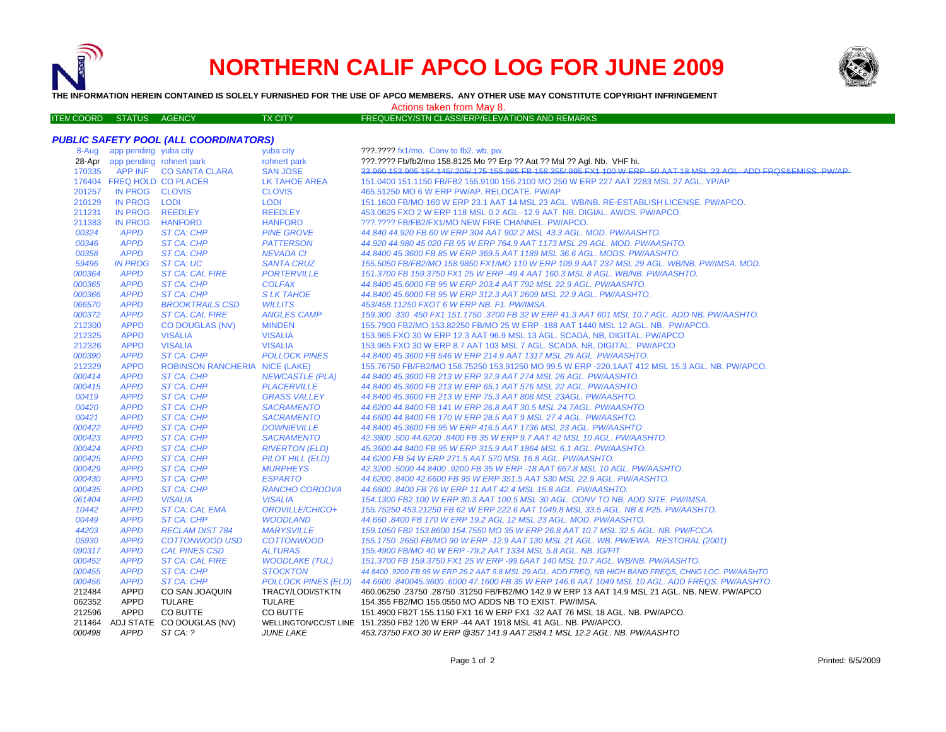

## **NORTHERN CALIF APCO LOG FOR JUNE 2009**



**THE INFORMATION HEREIN CONTAINED IS SOLELY FURNISHED FOR THE USE OF APCO MEMBERS. ANY OTHER USE MAY CONSTITUTE COPYRIGHT INFRINGEMENT**

## Actions taken from May 8.

| <b>ITEN COORD STATUS AGENCY</b> |  | <b>TX CITY</b> | FREQUENCY/STN CLASS/ERP/ELEVATIONS AND REMARKS |  |
|---------------------------------|--|----------------|------------------------------------------------|--|

## *PUBLIC SAFETY POOL (ALL COORDINATORS)*

| 8-Aug  | app pending yuba city      |                                       | yuba city                  | ???.???? fx1/mo. Conv to fb2. wb. pw.                                                                            |
|--------|----------------------------|---------------------------------------|----------------------------|------------------------------------------------------------------------------------------------------------------|
| 28-Apr | app pending rohnert park   |                                       | rohnert park               | ???.???? Fb/fb2/mo 158.8125 Mo ?? Erp ?? Aat ?? Msl ?? Agl. Nb. VHF hi.                                          |
| 170335 |                            | APP INF CO SANTA CLARA                | <b>SAN JOSE</b>            | 33.960 153.905 154.145/205/175 155.985 FB 158.355/995 FX1 100 W ERP -50 AAT 18 MSL 23 AGL. ADD FRQS&EMISS, PW/AP |
|        | 176404 FREQ HOLD CO PLACER |                                       | <b>LK TAHOE AREA</b>       | 151.0400 151.1150 FB/FB2 155.9100 156.2100 MO 250 W ERP 227 AAT 2283 MSL 27 AGL. YP/AP                           |
| 201257 | IN PROG CLOVIS             |                                       | <b>CLOVIS</b>              | 465.51250 MO 6 W ERP PW/AP. RELOCATE. PW/AP                                                                      |
| 210129 | IN PROG LODI               |                                       | <b>LODI</b>                | 151.1600 FB/MO 160 W ERP 23.1 AAT 14 MSL 23 AGL. WB/NB. RE-ESTABLISH LICENSE. PW/APCO.                           |
| 211231 | <b>IN PROG</b>             | <b>REEDLEY</b>                        | <b>REEDLEY</b>             | 453.0625 FXO 2 W ERP 118 MSL 0.2 AGL -12.9 AAT. NB. DIGIAL. AWOS. PW/APCO.                                       |
| 211383 | IN PROG                    | <b>HANFORD</b>                        | <b>HANFORD</b>             | ???.???? FB/FB2/FX1/MO NEW FIRE CHANNEL. PW/APCO.                                                                |
| 00324  | <b>APPD</b>                | ST CA: CHP                            | <b>PINE GROVE</b>          | 44.840 44.920 FB 60 W ERP 304 AAT 902.2 MSL 43.3 AGL. MOD. PW/AASHTO.                                            |
| 00346  | <b>APPD</b>                | ST CA: CHP                            | <b>PATTERSON</b>           | 44.920 44.980 45.020 FB 95 W ERP 764.9 AAT 1173 MSL 29 AGL. MOD. PW/AASHTO.                                      |
| 00358  | <b>APPD</b>                | ST CA: CHP                            | <b>NEVADA CI</b>           | 44.8400 45.3600 FB 85 W ERP 369.5 AAT 1189 MSL 36.6 AGL. MODS. PW/AASHTO.                                        |
| 59496  | <b>IN PROG</b>             | ST CA: UC                             | <b>SANTA CRUZ</b>          | 155.5050 FB/FB2/MO 158.9850 FX1/MO 110 W ERP 109.9 AAT 237 MSL 29 AGL. WB/NB. PW/IMSA. MOD.                      |
| 000364 | <b>APPD</b>                | <b>ST CA: CAL FIRE</b>                | <b>PORTERVILLE</b>         | 151.3700 FB 159.3750 FX1 25 W ERP -49.4 AAT 160.3 MSL 8 AGL. WB/NB. PW/AASHTO.                                   |
| 000365 | <b>APPD</b>                | <b>ST CA: CHP</b>                     | <b>COLFAX</b>              | 44.8400 45.6000 FB 95 W ERP 203.4 AAT 792 MSL 22.9 AGL. PW/AASHTO.                                               |
| 000366 | <b>APPD</b>                | ST CA: CHP                            | <b>SLK TAHOE</b>           | 44.8400 45.6000 FB 95 W ERP 312.3 AAT 2609 MSL 22.9 AGL. PW/AASHTO.                                              |
| 066570 | <b>APPD</b>                | <b>BROOKTRAILS CSD</b>                | <b>WILLITS</b>             | 453/458.11250 FXOT 6 W ERP NB. F1. PW/IMSA.                                                                      |
| 000372 | <b>APPD</b>                | <b>ST CA: CAL FIRE</b>                | <b>ANGLES CAMP</b>         | 159.300 .330 .450 FX1 151.1750 .3700 FB 32 W ERP 41.3 AAT 601 MSL 10.7 AGL. ADD NB. PW/AASHTO.                   |
| 212300 | <b>APPD</b>                | <b>CO DOUGLAS (NV)</b>                | <b>MINDEN</b>              | 155.7900 FB2/MO 153.82250 FB/MO 25 W ERP -188 AAT 1440 MSL 12 AGL. NB. PW/APCO.                                  |
| 212325 | <b>APPD</b>                | <b>VISALIA</b>                        | <b>VISALIA</b>             | 153.965 FXO 30 W ERP 12.3 AAT 96.9 MSL 13 AGL. SCADA, NB, DIGITAL. PW/APCO                                       |
| 212326 | <b>APPD</b>                | <b>VISALIA</b>                        | <b>VISALIA</b>             | 153.965 FXO 30 W ERP 8.7 AAT 103 MSL 7 AGL. SCADA, NB, DIGITAL. PW/APCO                                          |
| 000390 | <b>APPD</b>                | ST CA: CHP                            | <b>POLLOCK PINES</b>       | 44.8400 45.3600 FB 546 W ERP 214.9 AAT 1317 MSL 29 AGL. PW/AASHTO.                                               |
| 212329 | <b>APPD</b>                | <b>ROBINSON RANCHERIA NICE (LAKE)</b> |                            | 155.76750 FB/FB2/MO 158.75250 153.91250 MO 99.5 W ERP -220.1AAT 412 MSL 15.3 AGL. NB. PW/APCO.                   |
| 000414 | <b>APPD</b>                | ST CA: CHP                            | <b>NEWCASTLE (PLA)</b>     | 44.8400 45.3600 FB 213 W ERP 37.9 AAT 274 MSL 26 AGL. PW/AASHTO.                                                 |
| 000415 | <b>APPD</b>                | ST CA: CHP                            | <b>PLACERVILLE</b>         | 44.8400 45.3600 FB 213 W ERP 65.1 AAT 576 MSL 22 AGL. PW/AASHTO.                                                 |
| 00419  | <b>APPD</b>                | ST CA: CHP                            | <b>GRASS VALLEY</b>        | 44.8400 45.3600 FB 213 W ERP 75.3 AAT 808 MSL 23AGL. PW/AASHTO.                                                  |
| 00420  | <b>APPD</b>                | ST CA: CHP                            | <b>SACRAMENTO</b>          | 44.6200 44.8400 FB 141 W ERP 26.8 AAT 30.5 MSL 24.7AGL. PW/AASHTO.                                               |
| 00421  | <b>APPD</b>                | ST CA: CHP                            | <b>SACRAMENTO</b>          | 44.6600 44.8400 FB 170 W ERP 28.5 AAT 9 MSL 27.4 AGL. PW/AASHTO.                                                 |
| 000422 | <b>APPD</b>                | ST CA: CHP                            | <b>DOWNIEVILLE</b>         | 44.8400 45.3600 FB 95 W ERP 416.5 AAT 1736 MSL 23 AGL. PW/AASHTO                                                 |
| 000423 | <b>APPD</b>                | ST CA: CHP                            | <b>SACRAMENTO</b>          | 42.3800.500 44.6200.8400 FB 35 W ERP 9.7 AAT 42 MSL 10 AGL. PW/AASHTO.                                           |
| 000424 | <b>APPD</b>                | ST CA: CHP                            | <b>RIVERTON (ELD)</b>      | 45.3600 44.8400 FB 95 W ERP 315.9 AAT 1864 MSL 6.1 AGL. PW/AASHTO.                                               |
| 000425 | <b>APPD</b>                | ST CA: CHP                            | <b>PILOT HILL (ELD)</b>    | 44.6200 FB 54 W ERP 271.5 AAT 570 MSL 16.8 AGL. PW/AASHTO.                                                       |
| 000429 | <b>APPD</b>                | ST CA: CHP                            | <b>MURPHEYS</b>            | 42.3200.5000 44.8400.9200 FB 35 W ERP -18 AAT 667.8 MSL 10 AGL. PW/AASHTO.                                       |
| 000430 | <b>APPD</b>                | ST CA: CHP                            | <b>ESPARTO</b>             | 44.6200 .8400 42.6600 FB 95 W ERP 351.5 AAT 530 MSL 22.9 AGL. PW/AASHTO.                                         |
| 000435 | <b>APPD</b>                | <b>ST CA: CHP</b>                     | RANCHO CORDOVA             | 44.6600.8400 FB 76 W ERP 11 AAT 42.4 MSL 15.8 AGL. PW/AASHTO.                                                    |
| 061404 | <b>APPD</b>                | <b>VISALIA</b>                        | <b>VISALIA</b>             | 154.1300 FB2 100 W ERP 30.3 AAT 100.5 MSL 30 AGL. CONV TO NB, ADD SITE. PW/IMSA.                                 |
| 10442  | <b>APPD</b>                | <b>ST CA: CAL EMA</b>                 | OROVILLE/CHICO+            | 155.75250 453.21250 FB 62 W ERP 222.6 AAT 1049.8 MSL 33.5 AGL. NB & P25. PW/AASHTO.                              |
| 00449  | <b>APPD</b>                | ST CA: CHP                            | <b>WOODLAND</b>            | 44.660.8400 FB 170 W ERP 19.2 AGL 12 MSL 23 AGL. MOD. PW/AASHTO.                                                 |
| 44203  | <b>APPD</b>                | <b>RECLAM DIST 784</b>                | <b>MARYSVILLE</b>          | 159.1050 FB2 153.8600 154.7550 MO 35 W ERP 26.8 AAT 10.7 MSL 32.5 AGL. NB. PW/FCCA.                              |
| 05930  | <b>APPD</b>                | COTTONWOOD USD                        | <b>COTTONWOOD</b>          | 155.1750.2650 FB/MO 90 W ERP -12.9 AAT 130 MSL 21 AGL. WB. PW/EWA. RESTORAL (2001)                               |
| 090317 | <b>APPD</b>                | <b>CAL PINES CSD</b>                  | <b>ALTURAS</b>             | 155.4900 FB/MO 40 W ERP -79.2 AAT 1334 MSL 5.8 AGL, NB, IG/FIT                                                   |
| 000452 | <b>APPD</b>                | <b>ST CA: CAL FIRE</b>                | <b>WOODLAKE (TUL)</b>      | 151.3700 FB 159.3750 FX1 25 W ERP -99.6AAT 140 MSL 10.7 AGL. WB/NB. PW/AASHTO.                                   |
| 000455 | <b>APPD</b>                | ST CA: CHP                            | <b>STOCKTON</b>            | 44.8400 .9200 FB 95 W ERP 29.2 AAT 9.8 MSL 29 AGL. ADD FREQ, NB HIGH BAND FREQS, CHNG LOC. PW/AASHTO             |
| 000456 | <b>APPD</b>                | ST CA: CHP                            | <b>POLLOCK PINES (ELD)</b> | .44.6600 .840045.3600 .6000 47.1600 FB 35 W ERP 146.6 AAT 1049 MSL 10 AGL. ADD FREQS. PW/AASHTO                  |
| 212484 | <b>APPD</b>                | CO SAN JOAQUIN                        | TRACY/LODI/STKTN           | 460.06250 .23750 .28750 .31250 FB/FB2/MO 142.9 W ERP 13 AAT 14.9 MSL 21 AGL. NB. NEW. PW/APCO                    |
| 062352 | APPD                       | TULARE                                | <b>TULARE</b>              | 154.355 FB2/MO 155.0550 MO ADDS NB TO EXIST. PW/IMSA.                                                            |
| 212596 | <b>APPD</b>                | CO BUTTE                              | <b>CO BUTTE</b>            | 151.4900 FB2T 155.1150 FX1 16 W ERP FX1 -32 AAT 76 MSL 18 AGL, NB, PW/APCO,                                      |
| 211464 |                            | ADJ STATE CO DOUGLAS (NV)             |                            | WELLINGTON/CC/ST LINE 151.2350 FB2 120 W ERP -44 AAT 1918 MSL 41 AGL. NB. PW/APCO.                               |
| 000498 | <b>APPD</b>                | ST CA: ?                              | <b>JUNE LAKE</b>           | 453.73750 FXO 30 W ERP @357 141.9 AAT 2584.1 MSL 12.2 AGL. NB. PW/AASHTO                                         |